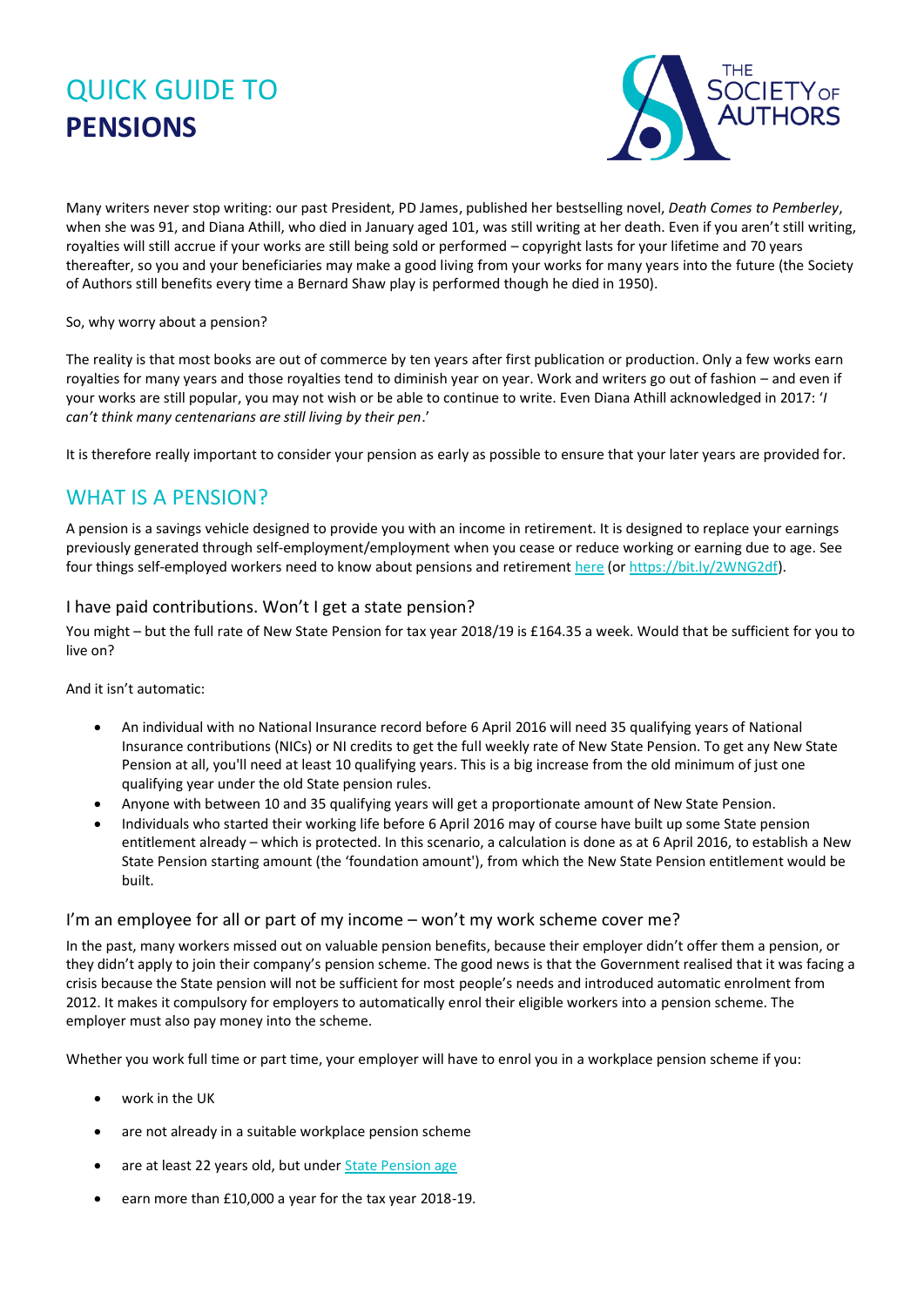# QUICK GUIDE TO **PENSIONS**



Many writers never stop writing: our past President, PD James, published her bestselling novel, *Death Comes to Pemberley*, when she was 91, and Diana Athill, who died in January aged 101, was still writing at her death. Even if you aren't still writing, royalties will still accrue if your works are still being sold or performed – copyright lasts for your lifetime and 70 years thereafter, so you and your beneficiaries may make a good living from your works for many years into the future (the Society of Authors still benefits every time a Bernard Shaw play is performed though he died in 1950).

#### So, why worry about a pension?

The reality is that most books are out of commerce by ten years after first publication or production. Only a few works earn royalties for many years and those royalties tend to diminish year on year. Work and writers go out of fashion – and even if your works are still popular, you may not wish or be able to continue to write. Even Diana Athill acknowledged in 2017: '*I can't think many centenarians are still living by their pen*.'

It is therefore really important to consider your pension as early as possible to ensure that your later years are provided for.

## WHAT IS A PENSION?

A pension is a savings vehicle designed to provide you with an income in retirement. It is designed to replace your earnings previously generated through self-employment/employment when you cease or reduce working or earning due to age. See four things self-employed workers need to know about pensions and retiremen[t here](https://www.creativeindustriesfederation.com/news/top-4-things-self-employed-workers-need-know-about-pensions-and-retirement-0?utm_source=2+Federation+Newsletter&utm_campaign=3fc1a4f011-EMAIL_CAMPAIGN_2019_06_13_10_51&utm_medium=email&utm_term=0_19cf5877d5-3fc1a4f011-288441013) (o[r https://bit.ly/2WNG2df\)](https://bit.ly/2WNG2df).

#### I have paid contributions. Won't I get a state pension?

You might – but the full rate of New State Pension for tax year 2018/19 is £164.35 a week. Would that be sufficient for you to live on?

And it isn't automatic:

- An individual with no National Insurance record before 6 April 2016 will need 35 qualifying years of National Insurance contributions (NICs) or NI credits to get the full weekly rate of New State Pension. To get any New State Pension at all, you'll need at least 10 qualifying years. This is a big increase from the old minimum of just one qualifying year under the old State pension rules.
- Anyone with between 10 and 35 qualifying years will get a proportionate amount of New State Pension.
- Individuals who started their working life before 6 April 2016 may of course have built up some State pension entitlement already – which is protected. In this scenario, a calculation is done as at 6 April 2016, to establish a New State Pension starting amount (the 'foundation amount'), from which the New State Pension entitlement would be built.

#### I'm an employee for all or part of my income – won't my work scheme cover me?

In the past, many workers missed out on valuable pension benefits, because their employer didn't offer them a pension, or they didn't apply to join their company's pension scheme. The good news is that the Government realised that it was facing a crisis because the State pension will not be sufficient for most people's needs and introduced automatic enrolment from 2012. It makes it compulsory for employers to automatically enrol their eligible workers into a pension scheme. The employer must also pay money into the scheme.

Whether you work full time or part time, your employer will have to enrol you in a workplace pension scheme if you:

- work in the UK
- are not already in a suitable workplace pension scheme
- are at least 22 years old, but under [State Pension age](https://moneyadviceservice.org.uk/en/articles/state-pensions)
- earn more than £10,000 a year for the tax year 2018-19.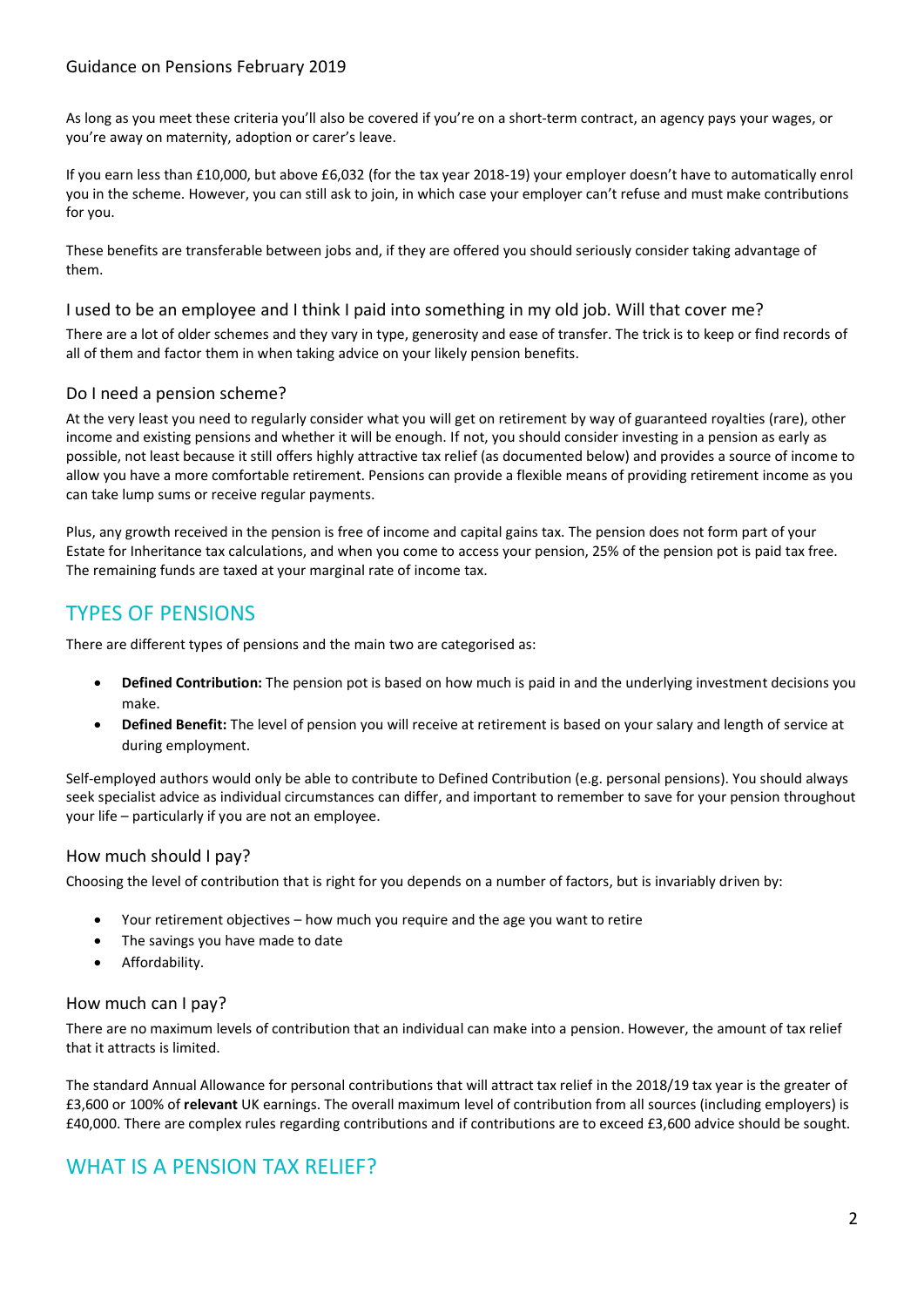#### Guidance on Pensions February 2019

As long as you meet these criteria you'll also be covered if you're on a short-term contract, an agency pays your wages, or you're away on maternity, adoption or carer's leave.

If you earn less than £10,000, but above £6,032 (for the tax year 2018-19) your employer doesn't have to automatically enrol you in the scheme. However, you can still ask to join, in which case your employer can't refuse and must make contributions for you.

These benefits are transferable between jobs and, if they are offered you should seriously consider taking advantage of them.

#### I used to be an employee and I think I paid into something in my old job. Will that cover me?

There are a lot of older schemes and they vary in type, generosity and ease of transfer. The trick is to keep or find records of all of them and factor them in when taking advice on your likely pension benefits.

#### Do I need a pension scheme?

At the very least you need to regularly consider what you will get on retirement by way of guaranteed royalties (rare), other income and existing pensions and whether it will be enough. If not, you should consider investing in a pension as early as possible, not least because it still offers highly attractive tax relief (as documented below) and provides a source of income to allow you have a more comfortable retirement. Pensions can provide a flexible means of providing retirement income as you can take lump sums or receive regular payments.

Plus, any growth received in the pension is free of income and capital gains tax. The pension does not form part of your Estate for Inheritance tax calculations, and when you come to access your pension, 25% of the pension pot is paid tax free. The remaining funds are taxed at your marginal rate of income tax.

## TYPES OF PENSIONS

There are different types of pensions and the main two are categorised as:

- **Defined Contribution:** The pension pot is based on how much is paid in and the underlying investment decisions you make.
- **Defined Benefit:** The level of pension you will receive at retirement is based on your salary and length of service at during employment.

Self-employed authors would only be able to contribute to Defined Contribution (e.g. personal pensions). You should always seek specialist advice as individual circumstances can differ, and important to remember to save for your pension throughout your life – particularly if you are not an employee.

#### How much should I pay?

Choosing the level of contribution that is right for you depends on a number of factors, but is invariably driven by:

- Your retirement objectives how much you require and the age you want to retire
- The savings you have made to date
- Affordability.

#### How much can I pay?

There are no maximum levels of contribution that an individual can make into a pension. However, the amount of tax relief that it attracts is limited.

The standard Annual Allowance for personal contributions that will attract tax relief in the 2018/19 tax year is the greater of £3,600 or 100% of **relevant** UK earnings. The overall maximum level of contribution from all sources (including employers) is £40,000. There are complex rules regarding contributions and if contributions are to exceed £3,600 advice should be sought.

## WHAT IS A PENSION TAX RELIFE?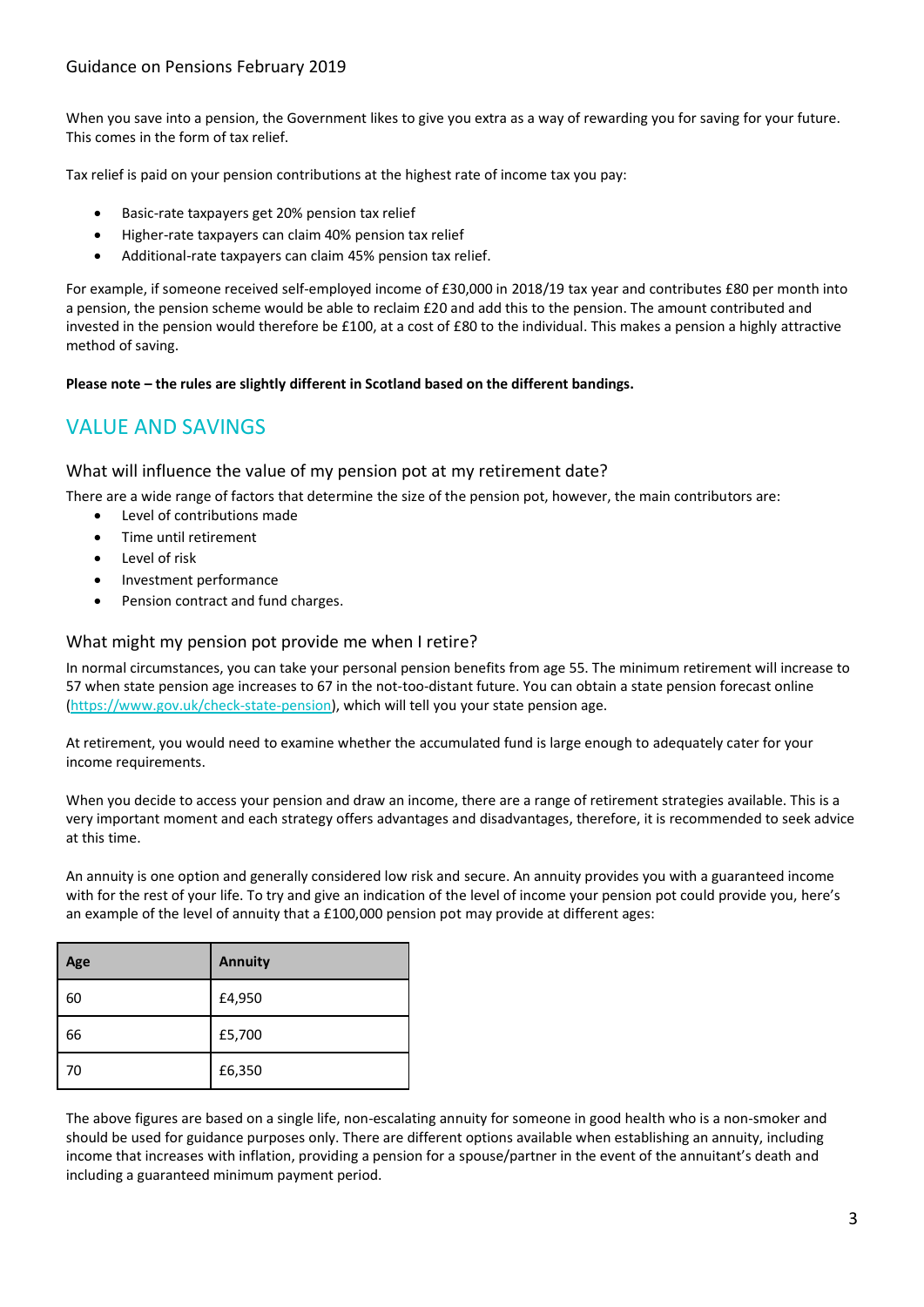#### Guidance on Pensions February 2019

When you save into a pension, the Government likes to give you extra as a way of rewarding you for saving for your future. This comes in the form of tax relief.

Tax relief is paid on your pension contributions at the highest rate of income tax you pay:

- Basic-rate taxpayers get 20% pension tax relief
- Higher-rate taxpayers can claim 40% pension tax relief
- Additional-rate taxpayers can claim 45% pension tax relief.

For example, if someone received self-employed income of £30,000 in 2018/19 tax year and contributes £80 per month into a pension, the pension scheme would be able to reclaim £20 and add this to the pension. The amount contributed and invested in the pension would therefore be £100, at a cost of £80 to the individual. This makes a pension a highly attractive method of saving.

**Please note – the rules are slightly different in Scotland based on the different bandings.**

# VALUE AND SAVINGS

What will influence the value of my pension pot at my retirement date?

There are a wide range of factors that determine the size of the pension pot, however, the main contributors are:

- Level of contributions made
- Time until retirement
- Level of risk
- Investment performance
- Pension contract and fund charges.

#### What might my pension pot provide me when I retire?

In normal circumstances, you can take your personal pension benefits from age 55. The minimum retirement will increase to 57 when state pension age increases to 67 in the not-too-distant future. You can obtain a state pension forecast online [\(https://www.gov.uk/check-state-pension\)](https://www.gov.uk/check-state-pension), which will tell you your state pension age.

At retirement, you would need to examine whether the accumulated fund is large enough to adequately cater for your income requirements.

When you decide to access your pension and draw an income, there are a range of retirement strategies available. This is a very important moment and each strategy offers advantages and disadvantages, therefore, it is recommended to seek advice at this time.

An annuity is one option and generally considered low risk and secure. An annuity provides you with a guaranteed income with for the rest of your life. To try and give an indication of the level of income your pension pot could provide you, here's an example of the level of annuity that a £100,000 pension pot may provide at different ages:

| Age | <b>Annuity</b> |
|-----|----------------|
| 60  | £4,950         |
| 66  | £5,700         |
| 70  | £6,350         |

The above figures are based on a single life, non-escalating annuity for someone in good health who is a non-smoker and should be used for guidance purposes only. There are different options available when establishing an annuity, including income that increases with inflation, providing a pension for a spouse/partner in the event of the annuitant's death and including a guaranteed minimum payment period.